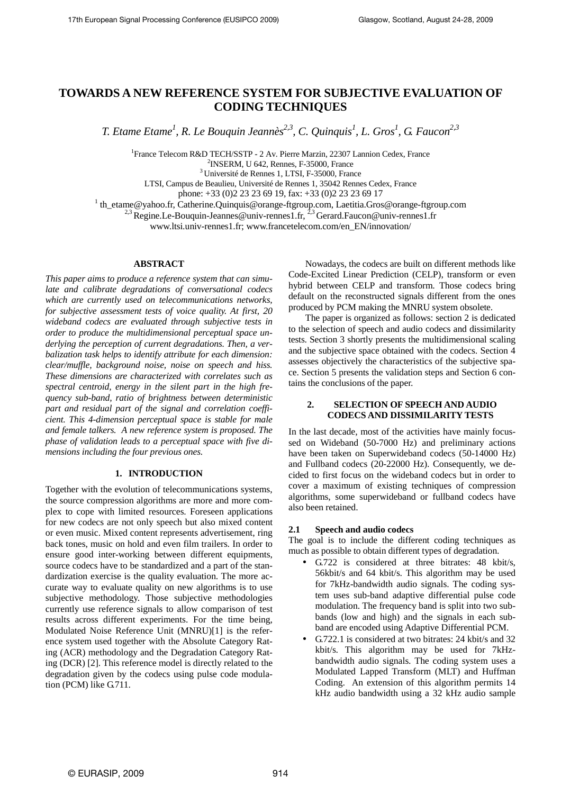# **TOWARDS A NEW REFERENCE SYSTEM FOR SUBJECTIVE EVALUATION OF CODING TECHNIQUES**

*T. Etame Etame<sup>1</sup> , R. Le Bouquin Jeannès2,3, C. Quinquis<sup>1</sup> , L. Gros<sup>1</sup> , G. Faucon2,3*

1 France Telecom R&D TECH/SSTP - 2 Av. Pierre Marzin, 22307 Lannion Cedex, France 2 INSERM, U 642, Rennes, F-35000, France

<sup>3</sup>Université de Rennes 1, LTSI, F-35000, France

LTSI, Campus de Beaulieu, Université de Rennes 1, 35042 Rennes Cedex, France

phone: +33 (0)2 23 23 69 19, fax: +33 (0)2 23 23 69 17

<sup>1</sup> th\_etame@yahoo.fr, Catherine.Quinquis@orange-ftgroup.com, Laetitia.Gros@orange-ftgroup.com

<sup>2,3</sup> Regine.Le-Bouquin-Jeannes@univ-rennes1.fr, <sup>2,3</sup> Gerard.Faucon@univ-rennes1.fr

www.ltsi.univ-rennes1.fr; www.francetelecom.com/en\_EN/innovation/

### **ABSTRACT**

*This paper aims to produce a reference system that can simulate and calibrate degradations of conversational codecs which are currently used on telecommunications networks, for subjective assessment tests of voice quality. At first, 20 wideband codecs are evaluated through subjective tests in order to produce the multidimensional perceptual space underlying the perception of current degradations. Then, a verbalization task helps to identify attribute for each dimension: clear/muffle, background noise, noise on speech and hiss. These dimensions are characterized with correlates such as spectral centroid, energy in the silent part in the high frequency sub-band, ratio of brightness between deterministic part and residual part of the signal and correlation coefficient. This 4-dimension perceptual space is stable for male and female talkers. A new reference system is proposed. The phase of validation leads to a perceptual space with five dimensions including the four previous ones.*

# **1. INTRODUCTION**

Together with the evolution of telecommunications systems, the source compression algorithms are more and more complex to cope with limited resources. Foreseen applications for new codecs are not only speech but also mixed content or even music. Mixed content represents advertisement, ring back tones, music on hold and even film trailers. In order to ensure good inter-working between different equipments, source codecs have to be standardized and a part of the standardization exercise is the quality evaluation. The more accurate way to evaluate quality on new algorithms is to use subjective methodology. Those subjective methodologies currently use reference signals to allow comparison of test results across different experiments. For the time being, Modulated Noise Reference Unit (MNRU)[1] is the reference system used together with the Absolute Category Rating (ACR) methodology and the Degradation Category Rating (DCR) [2]. This reference model is directly related to the degradation given by the codecs using pulse code modulation (PCM) like G.711.

Nowadays, the codecs are built on different methods like Code-Excited Linear Prediction (CELP), transform or even hybrid between CELP and transform. Those codecs bring default on the reconstructed signals different from the ones produced by PCM making the MNRU system obsolete.

The paper is organized as follows: section 2 is dedicated to the selection of speech and audio codecs and dissimilarity tests. Section 3 shortly presents the multidimensional scaling and the subjective space obtained with the codecs. Section 4 assesses objectively the characteristics of the subjective space. Section 5 presents the validation steps and Section 6 contains the conclusions of the paper.

# **2. SELECTION OF SPEECH AND AUDIO CODECS AND DISSIMILARITY TESTS**

In the last decade, most of the activities have mainly focussed on Wideband (50-7000 Hz) and preliminary actions have been taken on Superwideband codecs (50-14000 Hz) and Fullband codecs (20-22000 Hz). Consequently, we decided to first focus on the wideband codecs but in order to cover a maximum of existing techniques of compression algorithms, some superwideband or fullband codecs have also been retained.

# **2.1 Speech and audio codecs**

The goal is to include the different coding techniques as much as possible to obtain different types of degradation.

- G.722 is considered at three bitrates: 48 kbit/s, 56kbit/s and 64 kbit/s. This algorithm may be used for 7kHz-bandwidth audio signals. The coding system uses sub-band adaptive differential pulse code modulation. The frequency band is split into two subbands (low and high) and the signals in each subband are encoded using Adaptive Differential PCM.
- G.722.1 is considered at two bitrates: 24 kbit/s and 32 kbit/s. This algorithm may be used for 7kHzbandwidth audio signals. The coding system uses a Modulated Lapped Transform (MLT) and Huffman Coding. An extension of this algorithm permits 14 kHz audio bandwidth using a 32 kHz audio sample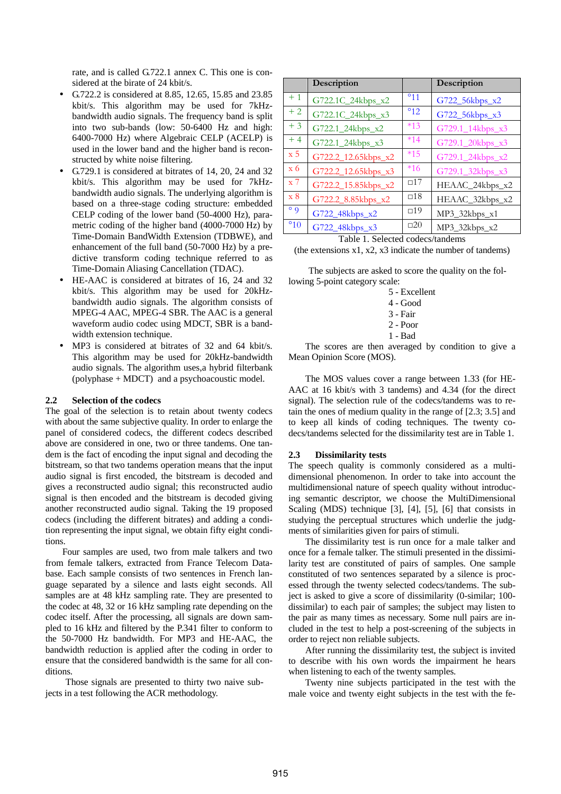rate, and is called G.722.1 annex C. This one is considered at the birate of 24 kbit/s.

- G.722.2 is considered at 8.85, 12.65, 15.85 and 23.85 kbit/s. This algorithm may be used for 7kHzbandwidth audio signals. The frequency band is split into two sub-bands (low: 50-6400 Hz and high: 6400-7000 Hz) where Algebraic CELP (ACELP) is used in the lower band and the higher band is reconstructed by white noise filtering.
- G.729.1 is considered at bitrates of 14, 20, 24 and 32 kbit/s. This algorithm may be used for 7kHzbandwidth audio signals. The underlying algorithm is based on a three-stage coding structure: embedded CELP coding of the lower band (50-4000 Hz), parametric coding of the higher band (4000-7000 Hz) by Time-Domain BandWidth Extension (TDBWE), and enhancement of the full band (50-7000 Hz) by a predictive transform coding technique referred to as Time-Domain Aliasing Cancellation (TDAC).
- HE-AAC is considered at bitrates of 16, 24 and 32 kbit/s. This algorithm may be used for 20kHzbandwidth audio signals. The algorithm consists of MPEG-4 AAC, MPEG-4 SBR. The AAC is a general waveform audio codec using MDCT, SBR is a bandwidth extension technique.
- MP3 is considered at bitrates of 32 and 64 kbit/s. This algorithm may be used for 20kHz-bandwidth audio signals. The algorithm uses,a hybrid filterbank (polyphase + MDCT) and a psychoacoustic model.

### **2.2 Selection of the codecs**

The goal of the selection is to retain about twenty codecs with about the same subjective quality. In order to enlarge the panel of considered codecs, the different codecs described above are considered in one, two or three tandems. One tandem is the fact of encoding the input signal and decoding the bitstream, so that two tandems operation means that the input audio signal is first encoded, the bitstream is decoded and gives a reconstructed audio signal; this reconstructed audio signal is then encoded and the bitstream is decoded giving another reconstructed audio signal. Taking the 19 proposed codecs (including the different bitrates) and adding a condition representing the input signal, we obtain fifty eight conditions.

Four samples are used, two from male talkers and two from female talkers, extracted from France Telecom Database. Each sample consists of two sentences in French language separated by a silence and lasts eight seconds. All samples are at 48 kHz sampling rate. They are presented to the codec at 48, 32 or 16 kHz sampling rate depending on the codec itself. After the processing, all signals are down sampled to 16 kHz and filtered by the P.341 filter to conform to the 50-7000 Hz bandwidth. For MP3 and HE-AAC, the bandwidth reduction is applied after the coding in order to ensure that the considered bandwidth is the same for all conditions.

Those signals are presented to thirty two naive subjects in a test following the ACR methodology.

|                  | Description         |                  | Description      |
|------------------|---------------------|------------------|------------------|
| $+1$             | G722.1C_24kbps_x2   | $^{\circ}11$     | G722_56kbps_x2   |
| $+2$             | G722.1C_24kbps_x3   | $\overline{5}12$ | G722_56kbps_x3   |
| $+3$             | G722.1_24kbps_x2    | $*13$            | G729.1_14kbps_x3 |
| $+4$             | G722.1_24kbps_x3    | $*14$            | G729.1_20kbps_x3 |
| $\overline{x}5$  | G722.2_12.65kbps_x2 | $*15$            | G729.1_24kbps_x2 |
| $\overline{x}$ 6 | G722.2_12.65kbps_x3 | $*16$            | G729.1_32kbps_x3 |
| $\overline{x}$ 7 | G722.2_15.85kbps_x2 | $\Box$ 17        | HEAAC_24kbps_x2  |
| $\mathbf{x}$ 8   | G722.2_8.85kbps_x2  | $\square$ 18     | HEAAC_32kbps_x2  |
| $\circ$ 0        | G722_48kbps_x2      | $\square$ 19     | MP3_32kbps_x1    |
| $^{\circ}10$     | G722_48kbps_x3      | $\square 20$     | MP3_32kbps_x2    |

### Table 1. Selected codecs/tandems

(the extensions x1, x2, x3 indicate the number of tandems)

The subjects are asked to score the quality on the following 5-point category scale:

| Excellent |  |
|-----------|--|
|-----------|--|

4 - Good

3 - Fair

2 - Poor

1 - Bad

The scores are then averaged by condition to give a Mean Opinion Score (MOS).

The MOS values cover a range between 1.33 (for HE-AAC at 16 kbit/s with 3 tandems) and 4.34 (for the direct signal). The selection rule of the codecs/tandems was to retain the ones of medium quality in the range of [2.3; 3.5] and to keep all kinds of coding techniques. The twenty codecs/tandems selected for the dissimilarity test are in Table 1.

#### **2.3 Dissimilarity tests**

The speech quality is commonly considered as a multidimensional phenomenon. In order to take into account the multidimensional nature of speech quality without introducing semantic descriptor, we choose the MultiDimensional Scaling (MDS) technique [3], [4], [5], [6] that consists in studying the perceptual structures which underlie the judgments of similarities given for pairs of stimuli.

The dissimilarity test is run once for a male talker and once for a female talker. The stimuli presented in the dissimilarity test are constituted of pairs of samples. One sample constituted of two sentences separated by a silence is processed through the twenty selected codecs/tandems. The subject is asked to give a score of dissimilarity (0-similar; 100 dissimilar) to each pair of samples; the subject may listen to the pair as many times as necessary. Some null pairs are included in the test to help a post-screening of the subjects in order to reject non reliable subjects.

After running the dissimilarity test, the subject is invited to describe with his own words the impairment he hears when listening to each of the twenty samples.

Twenty nine subjects participated in the test with the male voice and twenty eight subjects in the test with the fe-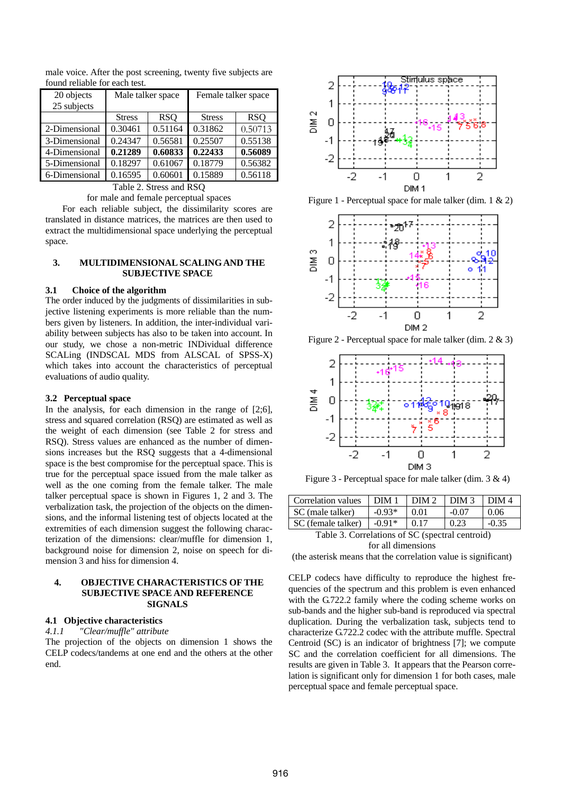| 20 objects                          | Male talker space           |         | Female talker space |            |  |  |
|-------------------------------------|-----------------------------|---------|---------------------|------------|--|--|
| 25 subjects                         |                             |         |                     |            |  |  |
|                                     | <b>RSQ</b><br><b>Stress</b> |         | <b>Stress</b>       | <b>RSO</b> |  |  |
| 2-Dimensional                       | 0.30461                     | 0.51164 | 0.31862             | 0.50713    |  |  |
| 3-Dimensional                       | 0.24347                     | 0.56581 | 0.25507             | 0.55138    |  |  |
| 4-Dimensional                       | 0.21289                     | 0.60833 | 0.22433             | 0.56089    |  |  |
| 5-Dimensional                       | 0.18297                     | 0.61067 | 0.18779             | 0.56382    |  |  |
| 0.16595<br>0.60601<br>6-Dimensional |                             | 0.15889 | 0.56118             |            |  |  |

male voice. After the post screening, twenty five subjects are found reliable for each test.

> Table 2. Stress and RSQ for male and female perceptual spaces

For each reliable subject, the dissimilarity scores are translated in distance matrices, the matrices are then used to extract the multidimensional space underlying the perceptual space.

# **3. MULTIDIMENSIONAL SCALING AND THE SUBJECTIVE SPACE**

# **3.1 Choice of the algorithm**

The order induced by the judgments of dissimilarities in subjective listening experiments is more reliable than the numbers given by listeners. In addition, the inter-individual variability between subjects has also to be taken into account. In our study, we chose a non-metric INDividual difference SCALing (INDSCAL MDS from ALSCAL of SPSS-X) which takes into account the characteristics of perceptual evaluations of audio quality.

#### **3.2 Perceptual space**

In the analysis, for each dimension in the range of [2;6], stress and squared correlation (RSQ) are estimated as well as the weight of each dimension (see Table 2 for stress and RSQ). Stress values are enhanced as the number of dimensions increases but the RSQ suggests that a 4-dimensional space is the best compromise for the perceptual space. This is true for the perceptual space issued from the male talker as well as the one coming from the female talker. The male talker perceptual space is shown in Figures 1, 2 and 3. The verbalization task, the projection of the objects on the dimensions, and the informal listening test of objects located at the extremities of each dimension suggest the following characterization of the dimensions: clear/muffle for dimension 1, background noise for dimension 2, noise on speech for dimension 3 and hiss for dimension 4.

# **4. OBJECTIVE CHARACTERISTICS OF THE SUBJECTIVE SPACE AND REFERENCE SIGNALS**

# **4.1 Objective characteristics**

### *4.1.1 "Clear/muffle" attribute*

The projection of the objects on dimension 1 shows the CELP codecs/tandems at one end and the others at the other end.



Figure 1 - Perceptual space for male talker (dim. 1 & 2)



Figure 2 - Perceptual space for male talker (dim. 2 & 3)



Figure 3 - Perceptual space for male talker (dim. 3 & 4)

| Correlation values                              | DIM <sub>1</sub> | DIM <sub>2</sub> | DIM <sub>3</sub> | DIM <sub>4</sub> |  |
|-------------------------------------------------|------------------|------------------|------------------|------------------|--|
| SC (male talker)                                | $-0.93*$         | 0.01             | $-0.07$          | 0.06             |  |
| SC (female talker)                              | $-0.91*$         | 0.17             | 0.23             | $-0.35$          |  |
| Table 3. Correlations of SC (spectral centroid) |                  |                  |                  |                  |  |

for all dimensions

(the asterisk means that the correlation value is significant)

CELP codecs have difficulty to reproduce the highest frequencies of the spectrum and this problem is even enhanced with the G.722.2 family where the coding scheme works on sub-bands and the higher sub-band is reproduced via spectral duplication. During the verbalization task, subjects tend to characterize G.722.2 codec with the attribute muffle. Spectral Centroid (SC) is an indicator of brightness [7]; we compute SC and the correlation coefficient for all dimensions. The results are given in Table 3. It appears that the Pearson correlation is significant only for dimension 1 for both cases, male perceptual space and female perceptual space.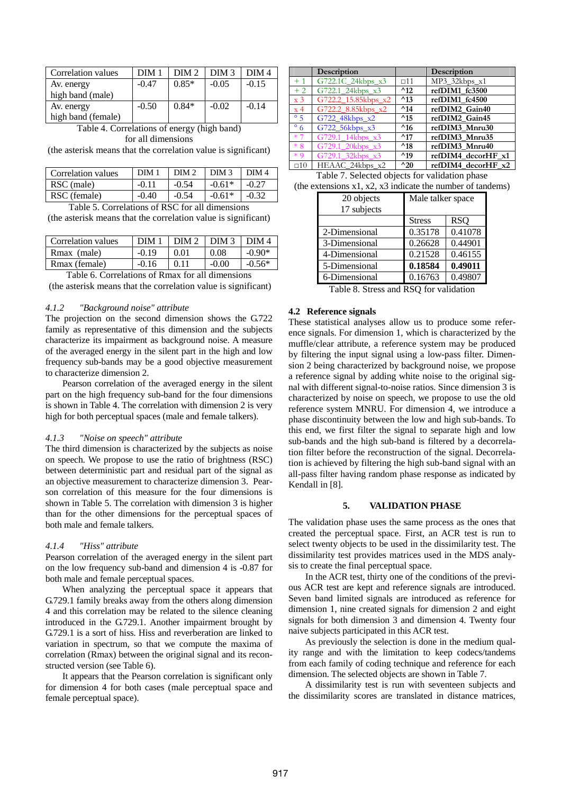| Correlation values | DIM 1   | DIM 2   | DIM <sub>3</sub> | $\overline{DM}$ 4 |
|--------------------|---------|---------|------------------|-------------------|
| Av. energy         | $-0.47$ | $0.85*$ | $-0.05$          | $-0.15$           |
| high band (male)   |         |         |                  |                   |
| Av. energy         | $-0.50$ | $0.84*$ | $-0.02$          | $-0.14$           |
| high band (female) |         |         |                  |                   |

| Table 4. Correlations of energy (high band) |  |
|---------------------------------------------|--|
| for all dimensions                          |  |

(the asterisk means that the correlation value is significant)

| Correlation values | DIM     | DIM <sub>2</sub> | DIM <sub>3</sub> | DIM 4   |
|--------------------|---------|------------------|------------------|---------|
| RSC (male)         | $-0.11$ | $-0.54$          | $-0.61*$         | $-0.27$ |
| RSC (female)       | $-0.40$ | $-0.54$          | $-0.61*$         | $-0.32$ |

Table 5. Correlations of RSC for all dimensions

(the asterisk means that the correlation value is significant)

| Correlation values | DIM 1   | $LDIM2$ DIM 3 |         | $\overline{\phantom{0}}$ DIM 4 |
|--------------------|---------|---------------|---------|--------------------------------|
| Rmax (male)        | $-0.19$ | 0.01          | 0.08    | $-0.90*$                       |
| Rmax (female)      | $-0.16$ | 0.11          | $-0.00$ | $-0.56*$                       |
|                    |         |               |         |                                |

Table 6. Correlations of Rmax for all dimensions (the asterisk means that the correlation value is significant)

# *4.1.2 "Background noise" attribute*

The projection on the second dimension shows the G.722 family as representative of this dimension and the subjects characterize its impairment as background noise. A measure of the averaged energy in the silent part in the high and low frequency sub-bands may be a good objective measurement to characterize dimension 2.

Pearson correlation of the averaged energy in the silent part on the high frequency sub-band for the four dimensions is shown in Table 4. The correlation with dimension 2 is very high for both perceptual spaces (male and female talkers).

#### *4.1.3 "Noise on speech" attribute*

The third dimension is characterized by the subjects as noise on speech. We propose to use the ratio of brightness (RSC) between deterministic part and residual part of the signal as an objective measurement to characterize dimension 3. Pearson correlation of this measure for the four dimensions is shown in Table 5. The correlation with dimension 3 is higher than for the other dimensions for the perceptual spaces of both male and female talkers.

# *4.1.4 "Hiss" attribute*

Pearson correlation of the averaged energy in the silent part on the low frequency sub-band and dimension 4 is -0.87 for both male and female perceptual spaces.

When analyzing the perceptual space it appears that G.729.1 family breaks away from the others along dimension 4 and this correlation may be related to the silence cleaning introduced in the G.729.1. Another impairment brought by G.729.1 is a sort of hiss. Hiss and reverberation are linked to variation in spectrum, so that we compute the maxima of correlation (Rmax) between the original signal and its reconstructed version (see Table 6).

It appears that the Pearson correlation is significant only for dimension 4 for both cases (male perceptual space and female perceptual space).

|                  | Description         |               | Description        |
|------------------|---------------------|---------------|--------------------|
| $+1$             | G722.1C_24kbps_x3   | $\Box$ 11     | MP3_32kbps_x1      |
| $+2$             | G722.1 24kbps x3    | $^{\wedge}12$ | refDIM1 fc3500     |
| $\overline{x}$ 3 | G722.2 15.85kbps x2 | $^{\wedge}13$ | refDIM1 fc4500     |
| $\overline{x}$ 4 | G722.2_8.85kbps_x2  | $^{\wedge}14$ | refDIM2 Gain40     |
| $\degree$ 5      | G722 48kbps x2      | $^{\wedge}15$ | refDIM2 Gain45     |
| $\degree$ 6      | G722_56kbps_x3      | $^{\wedge}16$ | refDIM3 Mnru30     |
| $*7$             | G729.1 14kbps x3    | $^{\wedge}17$ | refDIM3_Mnru35     |
| $*8$             | G729.1 20kbps x3    | $^{\wedge}18$ | refDIM3 Mnru40     |
| $*9$             | G729.1 32kbps x3    | $^{\wedge}19$ | refDIM4 decorHF x1 |
| $\square$ 10     | HEAAC 24kbps x2     | $^{\wedge}20$ | refDIM4 decorHF x2 |

Table 7. Selected objects for validation phase (the extensions  $x1, x2, x3$  indicate the number of tandems)

| $\alpha$ and $\alpha$ as $\alpha$ , $\alpha$ as indicate the number of tan |                    |            |  |  |
|----------------------------------------------------------------------------|--------------------|------------|--|--|
| 20 objects                                                                 | Male talker space  |            |  |  |
| 17 subjects                                                                |                    |            |  |  |
|                                                                            | <b>Stress</b>      | <b>RSQ</b> |  |  |
| 2-Dimensional                                                              | 0.35178            | 0.41078    |  |  |
| 3-Dimensional                                                              | 0.44901<br>0.26628 |            |  |  |
| 4-Dimensional                                                              | 0.21528            | 0.46155    |  |  |
| 5-Dimensional                                                              | 0.18584            | 0.49011    |  |  |
| 6-Dimensional                                                              | 0.16763            | 0.49807    |  |  |

Table 8. Stress and RSQ for validation

#### **4.2 Reference signals**

These statistical analyses allow us to produce some reference signals. For dimension 1, which is characterized by the muffle/clear attribute, a reference system may be produced by filtering the input signal using a low-pass filter. Dimension 2 being characterized by background noise, we propose a reference signal by adding white noise to the original signal with different signal-to-noise ratios. Since dimension 3 is characterized by noise on speech, we propose to use the old reference system MNRU. For dimension 4, we introduce a phase discontinuity between the low and high sub-bands. To this end, we first filter the signal to separate high and low sub-bands and the high sub-band is filtered by a decorrelation filter before the reconstruction of the signal. Decorrelation is achieved by filtering the high sub-band signal with an all-pass filter having random phase response as indicated by Kendall in [8].

#### **5. VALIDATION PHASE**

The validation phase uses the same process as the ones that created the perceptual space. First, an ACR test is run to select twenty objects to be used in the dissimilarity test. The dissimilarity test provides matrices used in the MDS analysis to create the final perceptual space.

In the ACR test, thirty one of the conditions of the previous ACR test are kept and reference signals are introduced. Seven band limited signals are introduced as reference for dimension 1, nine created signals for dimension 2 and eight signals for both dimension 3 and dimension 4. Twenty four naive subjects participated in this ACR test.

As previously the selection is done in the medium quality range and with the limitation to keep codecs/tandems from each family of coding technique and reference for each dimension. The selected objects are shown in Table 7.

A dissimilarity test is run with seventeen subjects and the dissimilarity scores are translated in distance matrices,